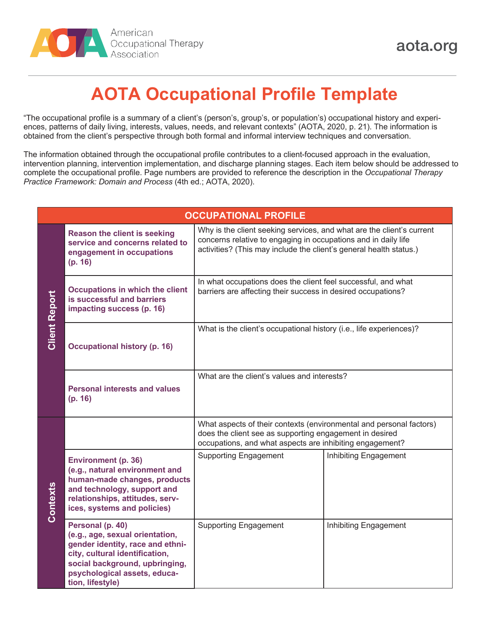

## **AOTA Occupational Profile Template**

"The occupational profile is a summary of a client's (person's, group's, or population's) occupational history and experiences, patterns of daily living, interests, values, needs, and relevant contexts" (AOTA, 2020, p. 21). The information is obtained from the client's perspective through both formal and informal interview techniques and conversation.

The information obtained through the occupational profile contributes to a client-focused approach in the evaluation, intervention planning, intervention implementation, and discharge planning stages. Each item below should be addressed to complete the occupational profile. Page numbers are provided to reference the description in the *Occupational Therapy Practice Framework: Domain and Process* (4th ed.; AOTA, 2020).

| <b>OCCUPATIONAL PROFILE</b> |                                                                                                                                                                                                                 |                                                                                                                                                                                                               |                       |  |  |
|-----------------------------|-----------------------------------------------------------------------------------------------------------------------------------------------------------------------------------------------------------------|---------------------------------------------------------------------------------------------------------------------------------------------------------------------------------------------------------------|-----------------------|--|--|
| <b>Client Report</b>        | <b>Reason the client is seeking</b><br>service and concerns related to<br>engagement in occupations<br>(p. 16)                                                                                                  | Why is the client seeking services, and what are the client's current<br>concerns relative to engaging in occupations and in daily life<br>activities? (This may include the client's general health status.) |                       |  |  |
|                             | <b>Occupations in which the client</b><br>is successful and barriers<br>impacting success (p. 16)                                                                                                               | In what occupations does the client feel successful, and what<br>barriers are affecting their success in desired occupations?                                                                                 |                       |  |  |
|                             | <b>Occupational history (p. 16)</b>                                                                                                                                                                             | What is the client's occupational history (i.e., life experiences)?                                                                                                                                           |                       |  |  |
|                             | <b>Personal interests and values</b><br>(p. 16)                                                                                                                                                                 | What are the client's values and interests?                                                                                                                                                                   |                       |  |  |
| Contexts                    |                                                                                                                                                                                                                 | What aspects of their contexts (environmental and personal factors)<br>does the client see as supporting engagement in desired<br>occupations, and what aspects are inhibiting engagement?                    |                       |  |  |
|                             | <b>Environment (p. 36)</b><br>(e.g., natural environment and<br>human-made changes, products<br>and technology, support and<br>relationships, attitudes, serv-<br>ices, systems and policies)                   | <b>Supporting Engagement</b>                                                                                                                                                                                  | Inhibiting Engagement |  |  |
|                             | Personal (p. 40)<br>(e.g., age, sexual orientation,<br>gender identity, race and ethni-<br>city, cultural identification,<br>social background, upbringing,<br>psychological assets, educa-<br>tion, lifestyle) | <b>Supporting Engagement</b>                                                                                                                                                                                  | Inhibiting Engagement |  |  |